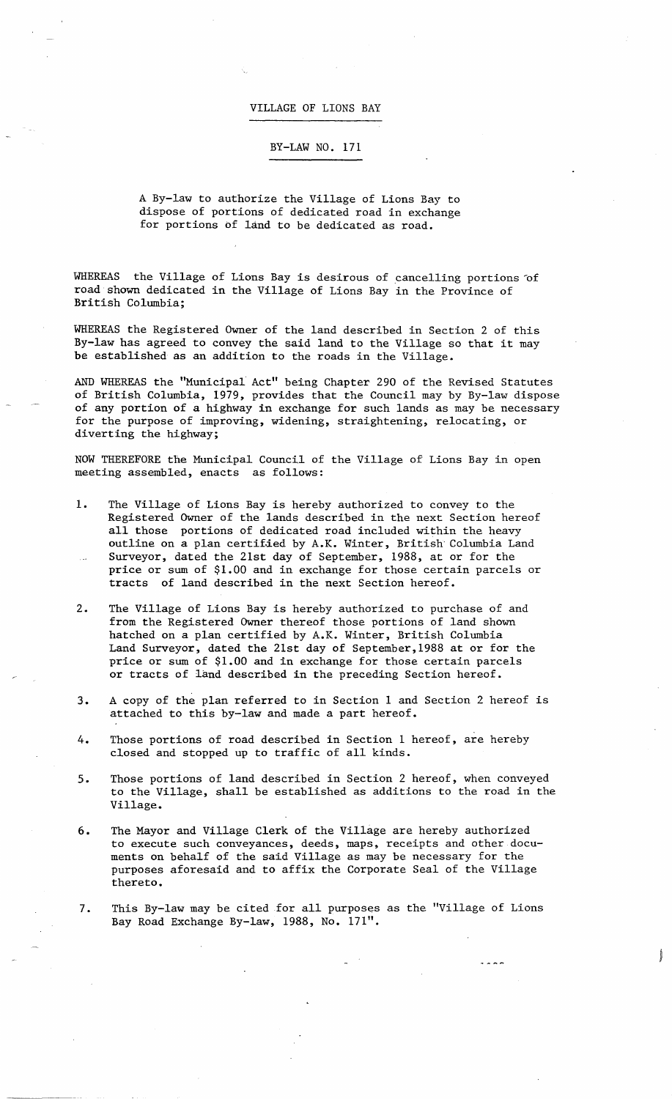## VILLAGE OF LIONS BAY

## BY-LAW NO. 171

A By-law to authorize the Village of Lions Bay to dispose of portions of dedicated road in exchange for portions of land to be dedicated as road.

WHEREAS the Village of Lions Bay is desirous of cancelling portions of road shown dedicated in the Village of Lions Bay in the Province of British Columbia;

WHEREAS the Registered Owner of the land described in Section 2 of this By-law has agreed to convey the said land to the Village so that it may be established as an addition to the roads in the Village.

AND WHEREAS the "Municipal Act" being Chapter 290 of the Revised Statutes of British Columbia, 1979, provides that the Council may by By-law dispose of any portion of a highway in exchange for such lands as may be necessary for the purpose of improving, widening, straightening, relocating, or diverting the highway;

NOW THEREFORE the Municipal Council of the Village of Lions Bay in open meeting assembled, enacts as follows:

- 1. The Village of Lions Bay is hereby authorized to convey to the Registered Owner of the lands described in the next Section hereof all those portions of dedicated road included within the heavy outline on a plan certified by A.K. Winter, British Columbia Land Surveyor, dated the 21st day of September, 1988, at or for the price or sum of \$1.00 and in exchange for those certain parcels or tracts of land described in the next Section hereof.
- 2. The Village of Lions Bay is hereby authorized to purchase of and from the Registered Owner thereof those portions of land shown hatched on a plan certified by A.K. Winter, British Columbia Land Surveyor, dated the 21st day of September,1988 at or for the price or sum of \$1.00 and in exchange for those certain parcels or tracts of land described in the preceding Section hereof.
- 3. A copy of the plan referred to in Section 1 and Section 2 hereof is attached to this by-law and made a part hereof.
- 4. Those portions of road described in Section 1 hereof, are hereby closed and stopped up to traffic of all kinds.
- 5. Those portions of land described in Section 2 hereof, when conveyed to the Village, shall be established as additions to the road in the Village .
- 6. The Mayor and Village Clerk of the Village are hereby authorized to execute such conveyances, deeds, maps, receipts and other documents on behalf of the said Village as may be necessary for the purposes aforesaid and to affix the Corporate Seal of the Village thereto.
- 7. This By-law may be cited for all purposes as the "Village of Lions Bay Road Exchange By-law, 1988, No. 171".

**ASSESSING** 

 $\overline{a}$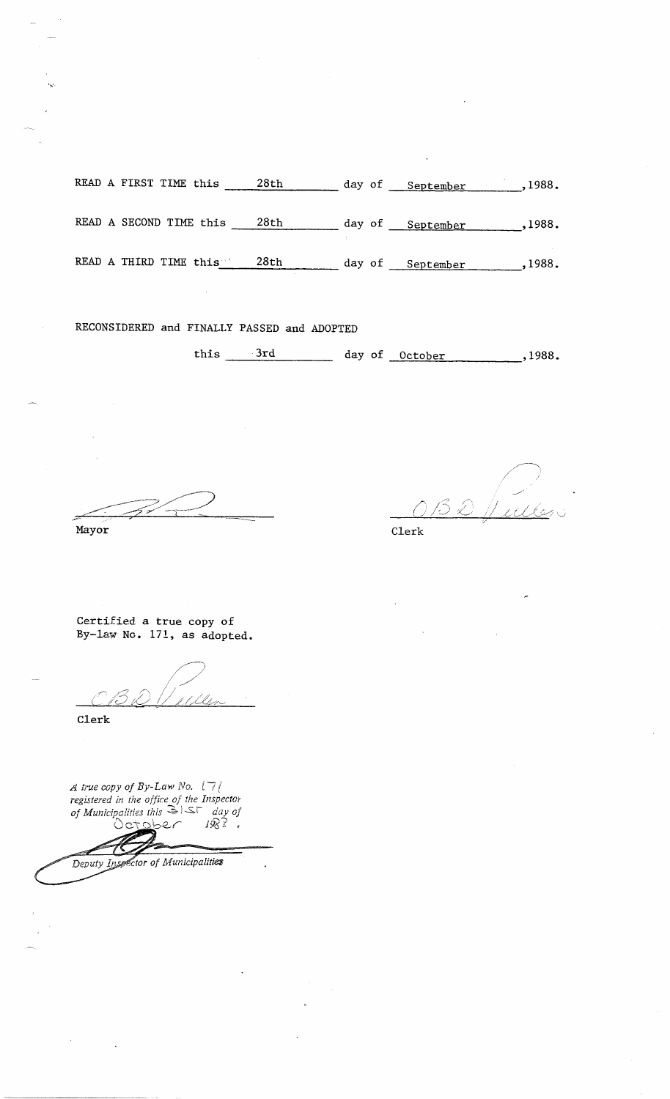READ A FIRST TIME this  $\frac{28th}{\text{day of}}$  day of September ,1988. READ A SECOND TIME this  $\frac{28th}{\text{day of}}$  day of  $\frac{\text{September}}{\text{September}}$ , 1988. READ A THIRD TIME this 28th day of September , 1988.

RECONSIDERED and FINALLY PASSED and ADOPTED

this  $3rd$  day of  $October$ , 1988.

Mayor Clerk

Certified a true copy of By-law No. 171, as adopted.

Clerk

*A true copy of By-Law No.*  $17/$ registered in the office of the Inspector *of Municipalities this*  $\Rightarrow$   $\Box \Box \Box$  *day of* October